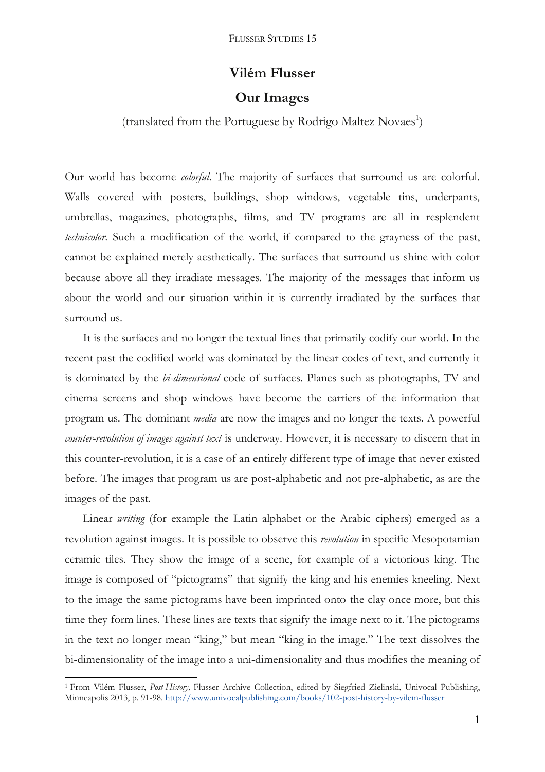## **Vilém Flusser**

## **Our Images**

(translated from the Portuguese by Rodrigo Maltez Novaes<sup>1</sup>)

Our world has become *colorful*. The majority of surfaces that surround us are colorful. Walls covered with posters, buildings, shop windows, vegetable tins, underpants, umbrellas, magazines, photographs, films, and TV programs are all in resplendent *technicolor*. Such a modification of the world, if compared to the grayness of the past, cannot be explained merely aesthetically. The surfaces that surround us shine with color because above all they irradiate messages. The majority of the messages that inform us about the world and our situation within it is currently irradiated by the surfaces that surround us.

It is the surfaces and no longer the textual lines that primarily codify our world. In the recent past the codified world was dominated by the linear codes of text, and currently it is dominated by the *bi-dimensional* code of surfaces. Planes such as photographs, TV and cinema screens and shop windows have become the carriers of the information that program us. The dominant *media* are now the images and no longer the texts. A powerful *counter-revolution of images against text* is underway. However, it is necessary to discern that in this counter-revolution, it is a case of an entirely different type of image that never existed before. The images that program us are post-alphabetic and not pre-alphabetic, as are the images of the past.

Linear *writing* (for example the Latin alphabet or the Arabic ciphers) emerged as a revolution against images. It is possible to observe this *revolution* in specific Mesopotamian ceramic tiles. They show the image of a scene, for example of a victorious king. The image is composed of "pictograms" that signify the king and his enemies kneeling. Next to the image the same pictograms have been imprinted onto the clay once more, but this time they form lines. These lines are texts that signify the image next to it. The pictograms in the text no longer mean "king," but mean "king in the image." The text dissolves the bi-dimensionality of the image into a uni-dimensionality and thus modifies the meaning of

 $\overline{a}$ 

<sup>1</sup> From Vilém Flusser, *Post-History,* Flusser Archive Collection, edited by Siegfried Zielinski, Univocal Publishing, Minneapolis 2013, p. 91-98. <http://www.univocalpublishing.com/books/102-post-history-by-vilem-flusser>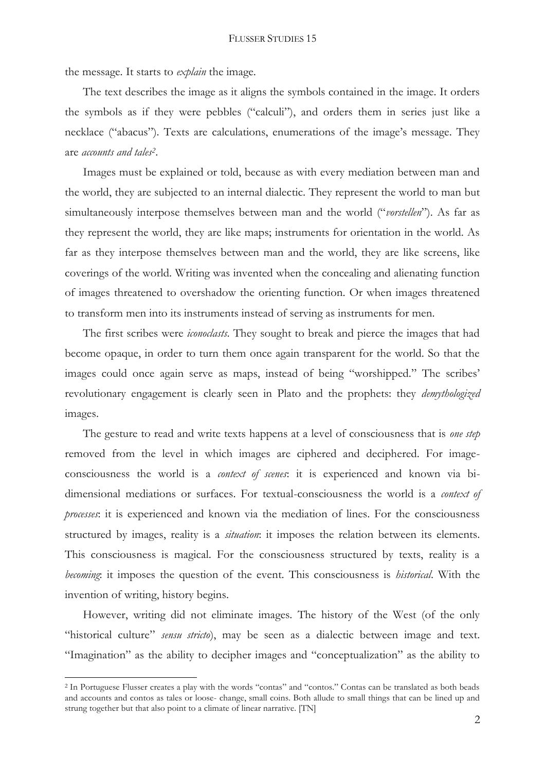the message. It starts to *explain* the image.

The text describes the image as it aligns the symbols contained in the image. It orders the symbols as if they were pebbles ("calculi"), and orders them in series just like a necklace ("abacus"). Texts are calculations, enumerations of the image's message. They are *accounts and tales<sup>2</sup>* .

Images must be explained or told, because as with every mediation between man and the world, they are subjected to an internal dialectic. They represent the world to man but simultaneously interpose themselves between man and the world ("*vorstellen*"). As far as they represent the world, they are like maps; instruments for orientation in the world. As far as they interpose themselves between man and the world, they are like screens, like coverings of the world. Writing was invented when the concealing and alienating function of images threatened to overshadow the orienting function. Or when images threatened to transform men into its instruments instead of serving as instruments for men.

The first scribes were *iconoclasts*. They sought to break and pierce the images that had become opaque, in order to turn them once again transparent for the world. So that the images could once again serve as maps, instead of being "worshipped." The scribes' revolutionary engagement is clearly seen in Plato and the prophets: they *demythologized* images.

The gesture to read and write texts happens at a level of consciousness that is *one step* removed from the level in which images are ciphered and deciphered. For imageconsciousness the world is a *context of scenes*: it is experienced and known via bidimensional mediations or surfaces. For textual-consciousness the world is a *context of processes*: it is experienced and known via the mediation of lines. For the consciousness structured by images, reality is a *situation*: it imposes the relation between its elements. This consciousness is magical. For the consciousness structured by texts, reality is a *becoming*: it imposes the question of the event. This consciousness is *historical*. With the invention of writing, history begins.

However, writing did not eliminate images. The history of the West (of the only "historical culture" *sensu stricto*), may be seen as a dialectic between image and text. "Imagination" as the ability to decipher images and "conceptualization" as the ability to

 $\overline{a}$ 

<sup>2</sup> In Portuguese Flusser creates a play with the words "contas" and "contos." Contas can be translated as both beads and accounts and contos as tales or loose- change, small coins. Both allude to small things that can be lined up and strung together but that also point to a climate of linear narrative. [TN]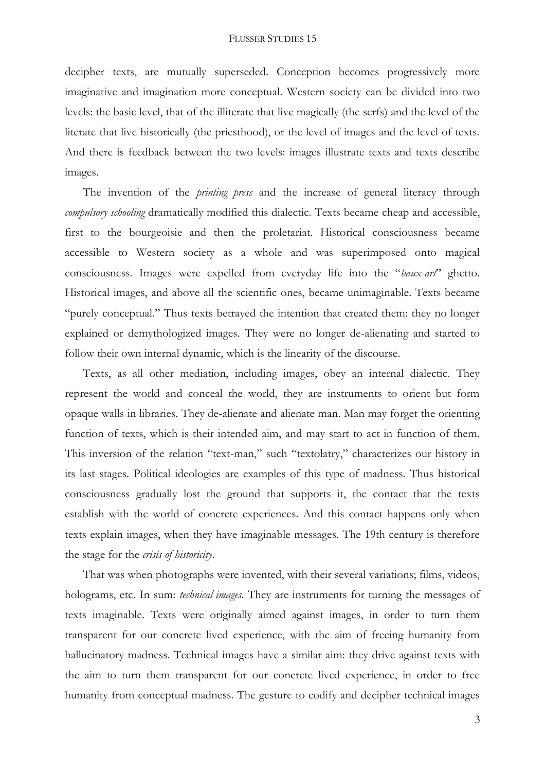decipher texts, are mutually superseded. Conception becomes progressively more imaginative and imagination more conceptual. Western society can be divided into two levels: the basic level, that of the illiterate that live magically (the serfs) and the level of the literate that live historically (the priesthood), or the level of images and the level of texts. And there is feedback between the two levels: images illustrate texts and texts describe images.

The invention of the *printing press* and the increase of general literacy through *compulsory schooling* dramatically modified this dialectic. Texts became cheap and accessible, first to the bourgeoisie and then the proletariat. Historical consciousness became accessible to Western society as a whole and was superimposed onto magical consciousness. Images were expelled from everyday life into the "*baux-art*" ghetto. Historical images, and above all the scientific ones, became unimaginable. Texts became "purely conceptual." Thus texts betrayed the intention that created them: they no longer explained or demythologized images. They were no longer de-alienating and started to follow their own internal dynamic, which is the linearity of the discourse.

Texts, as all other mediation, including images, obey an internal dialectic. They represent the world and conceal the world, they are instruments to orient but form opaque walls in libraries. They de-alienate and alienate man. Man may forget the orienting function of texts, which is their intended aim, and may start to act in function of them. This inversion of the relation "text-man," such "textolatry," characterizes our history in its last stages. Political ideologies are examples of this type of madness. Thus historical consciousness gradually lost the ground that supports it, the contact that the texts establish with the world of concrete experiences. And this contact happens only when texts explain images, when they have imaginable messages. The 19th century is therefore the stage for the *crisis of historicity*.

That was when photographs were invented, with their several variations; films, videos, holograms, etc. In sum: *technical images*. They are instruments for turning the messages of texts imaginable. Texts were originally aimed against images, in order to turn them transparent for our concrete lived experience, with the aim of freeing humanity from hallucinatory madness. Technical images have a similar aim: they drive against texts with the aim to turn them transparent for our concrete lived experience, in order to free humanity from conceptual madness. The gesture to codify and decipher technical images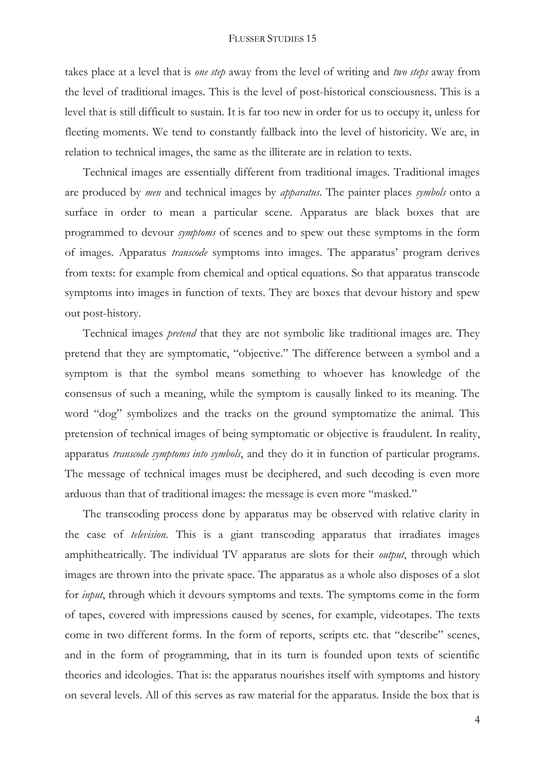## FLUSSER STUDIES 15

takes place at a level that is *one step* away from the level of writing and *two steps* away from the level of traditional images. This is the level of post-historical consciousness. This is a level that is still difficult to sustain. It is far too new in order for us to occupy it, unless for fleeting moments. We tend to constantly fallback into the level of historicity. We are, in relation to technical images, the same as the illiterate are in relation to texts.

Technical images are essentially different from traditional images. Traditional images are produced by *men* and technical images by *apparatus*. The painter places *symbols* onto a surface in order to mean a particular scene. Apparatus are black boxes that are programmed to devour *symptoms* of scenes and to spew out these symptoms in the form of images. Apparatus *transcode* symptoms into images. The apparatus' program derives from texts: for example from chemical and optical equations. So that apparatus transcode symptoms into images in function of texts. They are boxes that devour history and spew out post-history.

Technical images *pretend* that they are not symbolic like traditional images are. They pretend that they are symptomatic, "objective." The difference between a symbol and a symptom is that the symbol means something to whoever has knowledge of the consensus of such a meaning, while the symptom is causally linked to its meaning. The word "dog" symbolizes and the tracks on the ground symptomatize the animal. This pretension of technical images of being symptomatic or objective is fraudulent. In reality, apparatus *transcode symptoms into symbols*, and they do it in function of particular programs. The message of technical images must be deciphered, and such decoding is even more arduous than that of traditional images: the message is even more "masked."

The transcoding process done by apparatus may be observed with relative clarity in the case of *television*. This is a giant transcoding apparatus that irradiates images amphitheatrically. The individual TV apparatus are slots for their *output*, through which images are thrown into the private space. The apparatus as a whole also disposes of a slot for *input*, through which it devours symptoms and texts. The symptoms come in the form of tapes, covered with impressions caused by scenes, for example, videotapes. The texts come in two different forms. In the form of reports, scripts etc. that "describe" scenes, and in the form of programming, that in its turn is founded upon texts of scientific theories and ideologies. That is: the apparatus nourishes itself with symptoms and history on several levels. All of this serves as raw material for the apparatus. Inside the box that is